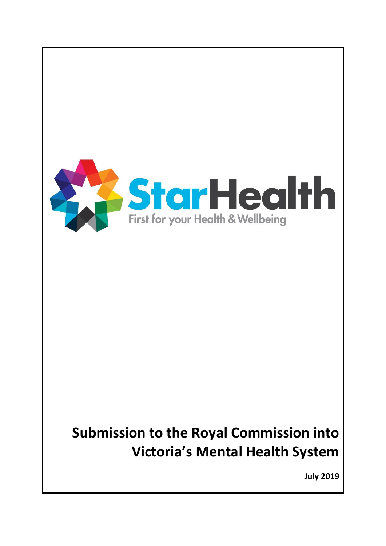

**July 2019**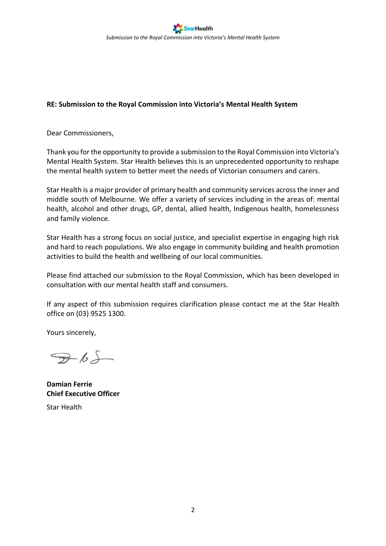Dear Commissioners,

Thank you for the opportunity to provide a submission to the Royal Commission into Victoria's Mental Health System. Star Health believes this is an unprecedented opportunity to reshape the mental health system to better meet the needs of Victorian consumers and carers.

Star Health is a major provider of primary health and community services across the inner and middle south of Melbourne. We offer a variety of services including in the areas of: mental health, alcohol and other drugs, GP, dental, allied health, Indigenous health, homelessness and family violence.

Star Health has a strong focus on social justice, and specialist expertise in engaging high risk and hard to reach populations. We also engage in community building and health promotion activities to build the health and wellbeing of our local communities.

Please find attached our submission to the Royal Commission, which has been developed in consultation with our mental health staff and consumers.

If any aspect of this submission requires clarification please contact me at the Star Health office on (03) 9525 1300.

Yours sincerely,

 $765$ 

**Damian Ferrie Chief Executive Officer**

Star Health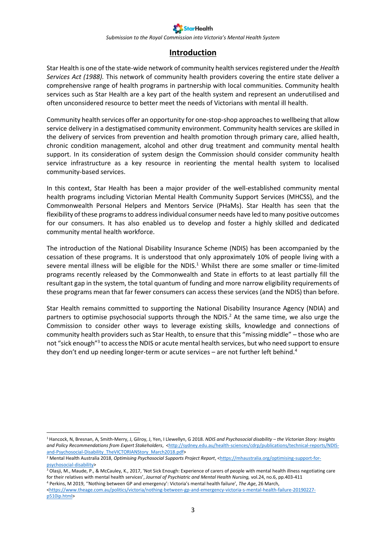*Submission to the Royal Commission into Victoria's Mental Health System*

### **Introduction**

Star Health is one of the state-wide network of community health services registered under the *Health Services Act (1988).* This network of community health providers covering the entire state deliver a comprehensive range of health programs in partnership with local communities. Community health services such as Star Health are a key part of the health system and represent an underutilised and often unconsidered resource to better meet the needs of Victorians with mental ill health.

Community health services offer an opportunity for one-stop-shop approaches to wellbeing that allow service delivery in a destigmatised community environment. Community health services are skilled in the delivery of services from prevention and health promotion through primary care, allied health, chronic condition management, alcohol and other drug treatment and community mental health support. In its consideration of system design the Commission should consider community health service infrastructure as a key resource in reorienting the mental health system to localised community-based services.

In this context, Star Health has been a major provider of the well-established community mental health programs including Victorian Mental Health Community Support Services (MHCSS), and the Commonwealth Personal Helpers and Mentors Service (PHaMs). Star Health has seen that the flexibility of these programs to address individual consumer needs have led to many positive outcomes for our consumers. It has also enabled us to develop and foster a highly skilled and dedicated community mental health workforce.

The introduction of the National Disability Insurance Scheme (NDIS) has been accompanied by the cessation of these programs. It is understood that only approximately 10% of people living with a severe mental illness will be eligible for the NDIS.<sup>1</sup> Whilst there are some smaller or time-limited programs recently released by the Commonwealth and State in efforts to at least partially fill the resultant gap in the system, the total quantum of funding and more narrow eligibility requirements of these programs mean that far fewer consumers can access these services (and the NDIS) than before.

Star Health remains committed to supporting the National Disability Insurance Agency (NDIA) and partners to optimise psychosocial supports through the NDIS.<sup>2</sup> At the same time, we also urge the Commission to consider other ways to leverage existing skills, knowledge and connections of community health providers such as Star Health, to ensure that this "missing middle" – those who are not "sick enough"<sup>3</sup> to access the NDIS or acute mental health services, but who need support to ensure they don't end up needing longer-term or acute services – are not further left behind.<sup>4</sup>

<sup>1</sup> Hancock, N, Bresnan, A, Smith-Merry, J, Gilroy, J, Yen, I Llewellyn, G 2018. *NDIS and Psychosocial disability – the Victorian Story: Insights*  and Policy Recommendations from Expert Stakeholders, [<http://sydney.edu.au/health-sciences/cdrp/publications/technical-reports/NDIS](http://sydney.edu.au/health-sciences/cdrp/publications/technical-reports/NDIS-and-Psychosocial-Disability_TheVICTORIANStory_March2018.pdf)[and-Psychosocial-Disability\\_TheVICTORIANStory\\_March2018.pdf>](http://sydney.edu.au/health-sciences/cdrp/publications/technical-reports/NDIS-and-Psychosocial-Disability_TheVICTORIANStory_March2018.pdf)

<sup>&</sup>lt;sup>2</sup> Mental Health Australia 2018, *Optimising Psychosocial Supports Project Report*, [<https://mhaustralia.org/optimising-support-for](https://mhaustralia.org/optimising-support-for-psychosocial-disability)[psychosocial-disability>](https://mhaustralia.org/optimising-support-for-psychosocial-disability)

<sup>&</sup>lt;sup>3</sup> Olasji, M., Maude, P., & McCauley, K., 2017, 'Not Sick Enough: Experience of carers of people with mental health illness negotiating care for their relatives with mental health services', *Journal of Psychiatric and Mental Health Nursing,* vol.24, no.6, pp.403-411 <sup>4</sup> Perkins, M 2019, ''Nothing between GP and emergency': Victoria's mental health failure', *The Age*, 26 March,

[<sup>&</sup>lt;https://www.theage.com.au/politics/victoria/nothing-between-gp-and-emergency-victoria-s-mental-health-failure-20190227](https://www.theage.com.au/politics/victoria/nothing-between-gp-and-emergency-victoria-s-mental-health-failure-20190227-p510ip.html) [p510ip.html>](https://www.theage.com.au/politics/victoria/nothing-between-gp-and-emergency-victoria-s-mental-health-failure-20190227-p510ip.html)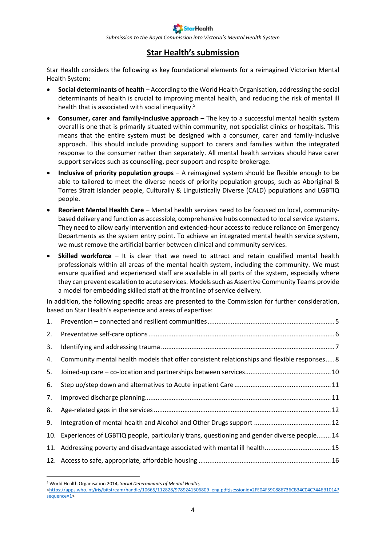*Submission to the Royal Commission into Victoria's Mental Health System*

## **Star Health's submission**

Star Health considers the following as key foundational elements for a reimagined Victorian Mental Health System:

- **Social determinants of health** According to the World Health Organisation, addressing the social determinants of health is crucial to improving mental health, and reducing the risk of mental ill health that is associated with social inequality.<sup>5</sup>
- **Consumer, carer and family-inclusive approach**  The key to a successful mental health system overall is one that is primarily situated within community, not specialist clinics or hospitals. This means that the entire system must be designed with a consumer, carer and family-inclusive approach. This should include providing support to carers and families within the integrated response to the consumer rather than separately. All mental health services should have carer support services such as counselling, peer support and respite brokerage.
- **Inclusive of priority population groups**  A reimagined system should be flexible enough to be able to tailored to meet the diverse needs of priority population groups, such as Aboriginal & Torres Strait Islander people, Culturally & Linguistically Diverse (CALD) populations and LGBTIQ people.
- **Reorient Mental Health Care** Mental health services need to be focused on local, communitybased delivery and function as accessible, comprehensive hubs connected to local service systems. They need to allow early intervention and extended-hour access to reduce reliance on Emergency Departments as the system entry point. To achieve an integrated mental health service system, we must remove the artificial barrier between clinical and community services.
- **Skilled workforce**  It is clear that we need to attract and retain qualified mental health professionals within all areas of the mental health system, including the community. We must ensure qualified and experienced staff are available in all parts of the system, especially where they can prevent escalation to acute services. Models such as Assertive Community Teams provide a model for embedding skilled staff at the frontline of service delivery.

In addition, the following specific areas are presented to the Commission for further consideration, based on Star Health's experience and areas of expertise:

| 1. |                                                                                               |
|----|-----------------------------------------------------------------------------------------------|
| 2. |                                                                                               |
| 3. |                                                                                               |
| 4. | Community mental health models that offer consistent relationships and flexible responses 8   |
| 5. |                                                                                               |
| 6. |                                                                                               |
| 7. |                                                                                               |
| 8. |                                                                                               |
| 9. |                                                                                               |
|    | 10. Experiences of LGBTIQ people, particularly trans, questioning and gender diverse people14 |
|    | 11. Addressing poverty and disadvantage associated with mental ill health15                   |
|    |                                                                                               |

<sup>1</sup> <sup>5</sup> World Health Organisation 2014, *Social Determinants of Mental Health,* 

[<sup>&</sup>lt;https://apps.who.int/iris/bitstream/handle/10665/112828/9789241506809\\_eng.pdf;jsessionid=2FE04F59C886736CB34C04C7446B1014?](https://apps.who.int/iris/bitstream/handle/10665/112828/9789241506809_eng.pdf;jsessionid=2FE04F59C886736CB34C04C7446B1014?sequence=1) [sequence=1>](https://apps.who.int/iris/bitstream/handle/10665/112828/9789241506809_eng.pdf;jsessionid=2FE04F59C886736CB34C04C7446B1014?sequence=1)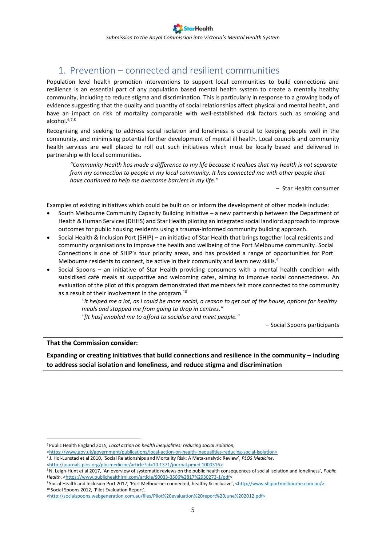## <span id="page-4-0"></span>1. Prevention – connected and resilient communities

Population level health promotion interventions to support local communities to build connections and resilience is an essential part of any population based mental health system to create a mentally healthy community, including to reduce stigma and discrimination. This is particularly in response to a growing body of evidence suggesting that the quality and quantity of social relationships affect physical and mental health, and have an impact on risk of mortality comparable with well-established risk factors such as smoking and alcohol. 6,7,8

Recognising and seeking to address social isolation and loneliness is crucial to keeping people well in the community, and minimising potential further development of mental ill health. Local councils and community health services are well placed to roll out such initiatives which must be locally based and delivered in partnership with local communities.

*"Community Health has made a difference to my life because it realises that my health is not separate from my connection to people in my local community. It has connected me with other people that have continued to help me overcome barriers in my life."*

– Star Health consumer

Examples of existing initiatives which could be built on or inform the development of other models include:

- South Melbourne Community Capacity Building Initiative a new partnership between the Department of Health & Human Services (DHHS) and Star Health piloting an integrated social landlord approach to improve outcomes for public housing residents using a trauma-informed community building approach.
- Social Health & Inclusion Port (SHIP) an initiative of Star Health that brings together local residents and community organisations to improve the health and wellbeing of the Port Melbourne community. Social Connections is one of SHIP's four priority areas, and has provided a range of opportunities for Port Melbourne residents to connect, be active in their community and learn new skills.<sup>9</sup>
- Social Spoons an initiative of Star Health providing consumers with a mental health condition with subsidised café meals at supportive and welcoming cafes, aiming to improve social connectedness. An evaluation of the pilot of this program demonstrated that members felt more connected to the community as a result of their involvement in the program.<sup>10</sup>

*"It helped me a lot, as I could be more social, a reason to get out of the house, options for healthy meals and stopped me from going to drop in centres."*

*"[It has] enabled me to afford to socialise and meet people."*

– Social Spoons participants

#### **That the Commission consider:**

1

**Expanding or creating initiatives that build connections and resilience in the community – including to address social isolation and loneliness, and reduce stigma and discrimination**

<sup>6</sup> Public Health England 2015*, Local action on health inequalities: reducing social isolation*,

[<sup>&</sup>lt;https://www.gov.uk/government/publications/local-action-on-health-inequalities-reducing-social-isolation>](https://www.gov.uk/government/publications/local-action-on-health-inequalities-reducing-social-isolation)

<sup>7</sup> J. Hol-Lunstad et al 2010, 'Social Relationships and Mortality Risk: A Meta-analytic Review', *PLOS Medicine*,

[<sup>&</sup>lt;http://journals.plos.org/plosmedicine/article?id=10.1371/journal.pmed.1000316>](http://journals.plos.org/plosmedicine/article?id=10.1371/journal.pmed.1000316)

<sup>8</sup>N. Leigh-Hunt et al 2017, 'An overview of systematic reviews on the public health consequences of social isolation and loneliness', *Public Health*, [<https://www.publichealthjrnl.com/article/S0033-3506%2817%2930273-1/pdf>](https://www.publichealthjrnl.com/article/S0033-3506%2817%2930273-1/pdf)

<sup>9</sup> Social Health and Inclusion Port 2017, 'Port Melbourne: connected, healthy & inclusive', <[http://www.shiportmelbourne.com.au/>](http://www.shiportmelbourne.com.au/) <sup>10</sup> Social Spoons 2012, 'Pilot Evaluation Report',

[<sup>&</sup>lt;http://socialspoons.webgeneration.com.au/files/Pilot%20evaluation%20report%20June%202012.pdf>](http://socialspoons.webgeneration.com.au/files/Pilot%20evaluation%20report%20June%202012.pdf)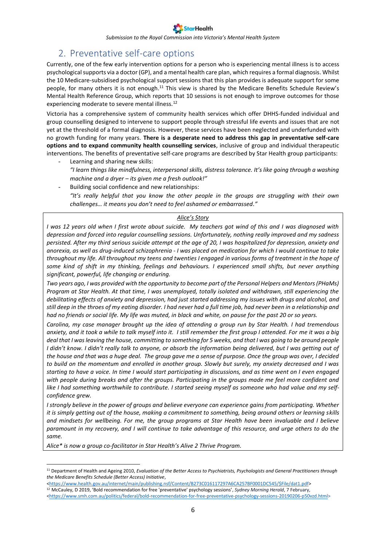## <span id="page-5-0"></span>2. Preventative self-care options

Currently, one of the few early intervention options for a person who is experiencing mental illness is to access psychological supports via a doctor (GP), and a mental health care plan, which requires a formal diagnosis. Whilst the 10 Medicare-subsidised psychological support sessions that this plan provides is adequate support for some people, for many others it is not enough.<sup>11</sup> This view is shared by the Medicare Benefits Schedule Review's Mental Health Reference Group, which reports that 10 sessions is not enough to improve outcomes for those experiencing moderate to severe mental illness.<sup>12</sup>

Victoria has a comprehensive system of community health services which offer DHHS-funded individual and group counselling designed to intervene to support people through stressful life events and issues that are not yet at the threshold of a formal diagnosis. However, these services have been neglected and underfunded with no growth funding for many years. **There is a desperate need to address this gap in preventative self-care options and to expand community health counselling services**, inclusive of group and individual therapeutic interventions. The benefits of preventative self-care programs are described by Star Health group participants:

- Learning and sharing new skills: *"I learn things like mindfulness, interpersonal skills, distress tolerance. It's like going through a washing machine and a dryer – its given me a fresh outlook!"*
- Building social confidence and new relationships: *"It's really helpful that you know the other people in the groups are struggling with their own challenges… it means you don't need to feel ashamed or embarrassed."*

#### *Alice's Story*

*I was 12 years old when I first wrote about suicide. My teachers got wind of this and I was diagnosed with depression and forced into regular counselling sessions. Unfortunately, nothing really improved and my sadness persisted. After my third serious suicide attempt at the age of 20, I was hospitalized for depression, anxiety and anorexia, as well as drug-induced schizophrenia - I was placed on medication for which I would continue to take throughout my life. All throughout my teens and twenties I engaged in various forms of treatment in the hope of some kind of shift in my thinking, feelings and behaviours. I experienced small shifts, but never anything significant, powerful, life changing or enduring.*

*Two years ago, I was provided with the opportunity to become part of the Personal Helpers and Mentors (PHaMs) Program at Star Health. At that time, I was unemployed, totally isolated and withdrawn, still experiencing the debilitating effects of anxiety and depression, had just started addressing my issues with drugs and alcohol, and still deep in the throes of my eating disorder. I had never had a full time job, had never been in a relationship and had no friends or social life. My life was muted, in black and white, on pause for the past 20 or so years.*

*Carolina, my case manager brought up the idea of attending a group run by Star Health. I had tremendous anxiety, and it took a while to talk myself into it. I still remember the first group I attended. For me it was a big deal that I was leaving the house, committing to something for 5 weeks, and that I was going to be around people I didn't know. I didn't really talk to anyone, or absorb the information being delivered, but I was getting out of the house and that was a huge deal. The group gave me a sense of purpose. Once the group was over, I decided to build on the momentum and enrolled in another group. Slowly but surely, my anxiety decreased and I was starting to have a voice. In time I would start participating in discussions, and as time went on I even engaged with people during breaks and after the groups. Participating in the groups made me feel more confident and like I had something worthwhile to contribute. I started seeing myself as someone who had value and my selfconfidence grew.*

*I* strongly believe in the power of groups and believe everyone can experience gains from participating. Whether *it is simply getting out of the house, making a commitment to something, being around others or learning skills and mindsets for wellbeing. For me, the group programs at Star Health have been invaluable and I believe paramount in my recovery, and I will continue to take advantage of this resource, and urge others to do the same.*

*Alice\* is now a group co-facilitator in Star Health's Alive 2 Thrive Program.*

<u>.</u>

<sup>12</sup> McCauley, D 2019, 'Bold recommendation for free 'preventative' psychology sessions', *Sydney Morning Herald*, 7 February, [<https://www.smh.com.au/politics/federal/bold-recommendation-for-free-preventative-psychology-sessions-20190206-p50vzd.html>](https://www.smh.com.au/politics/federal/bold-recommendation-for-free-preventative-psychology-sessions-20190206-p50vzd.html)

<sup>11</sup> Department of Health and Ageing 2010, *Evaluation of the Better Access to Psychiatrists, Psychologists and General Practitioners through the Medicare Benefits Schedule (Better Access) Initiative*,

[<sup>&</sup>lt;https://www.health.gov.au/internet/main/publishing.nsf/Content/B273C016117297A6CA257BF0001DC545/\\$File/dat1.pdf>](https://www.health.gov.au/internet/main/publishing.nsf/Content/B273C016117297A6CA257BF0001DC545/$File/dat1.pdf)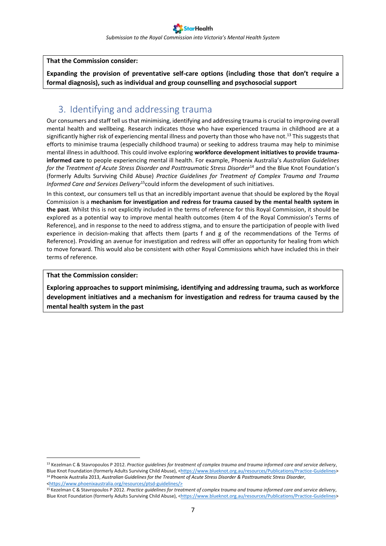#### **That the Commission consider:**

**Expanding the provision of preventative self-care options (including those that don't require a formal diagnosis), such as individual and group counselling and psychosocial support**

## <span id="page-6-0"></span>3. Identifying and addressing trauma

Our consumers and staff tell us that minimising, identifying and addressing trauma is crucial to improving overall mental health and wellbeing. Research indicates those who have experienced trauma in childhood are at a significantly higher risk of experiencing mental illness and poverty than those who have not.<sup>13</sup> This suggests that efforts to minimise trauma (especially childhood trauma) or seeking to address trauma may help to minimise mental illness in adulthood. This could involve exploring **workforce development initiatives to provide traumainformed care** to people experiencing mental ill health. For example, Phoenix Australia's *Australian Guidelines for the Treatment of Acute Stress Disorder and Posttraumatic Stress Disorder*<sup>14</sup> and the Blue Knot Foundation's (formerly Adults Surviving Child Abuse) *Practice Guidelines for Treatment of Complex Trauma and Trauma Informed Care and Services Delivery*<sup>15</sup>could inform the development of such initiatives.

In this context, our consumers tell us that an incredibly important avenue that should be explored by the Royal Commission is a **mechanism for investigation and redress for trauma caused by the mental health system in the past**. Whilst this is not explicitly included in the terms of reference for this Royal Commission, it should be explored as a potential way to improve mental health outcomes (item 4 of the Royal Commission's Terms of Reference), and in response to the need to address stigma, and to ensure the participation of people with lived experience in decision-making that affects them (parts f and g of the recommendations of the Terms of Reference). Providing an avenue for investigation and redress will offer an opportunity for healing from which to move forward. This would also be consistent with other Royal Commissions which have included this in their terms of reference.

#### **That the Commission consider:**

<u>.</u>

**Exploring approaches to support minimising, identifying and addressing trauma, such as workforce development initiatives and a mechanism for investigation and redress for trauma caused by the mental health system in the past**

<sup>13</sup> Kezelman C & Stavropoulos P 2012. *Practice guidelines for treatment of complex trauma and trauma informed care and service delivery*, Blue Knot Foundation (formerly Adults Surviving Child Abuse), [<https://www.blueknot.org.au/resources/Publications/Practice-Guidelines>](https://www.blueknot.org.au/resources/Publications/Practice-Guidelines) <sup>14</sup> Phoenix Australia 2013, *Australian Guidelines for the Treatment of Acute Stress Disorder & Posttraumatic Stress Disorder*, [<https://www.phoenixaustralia.org/resources/ptsd-guidelines/>](https://www.phoenixaustralia.org/resources/ptsd-guidelines/)

<sup>15</sup> Kezelman C & Stavropoulos P 2012. *Practice guidelines for treatment of complex trauma and trauma informed care and service delivery*, Blue Knot Foundation (formerly Adults Surviving Child Abuse), [<https://www.blueknot.org.au/resources/Publications/Practice-Guidelines>](https://www.blueknot.org.au/resources/Publications/Practice-Guidelines)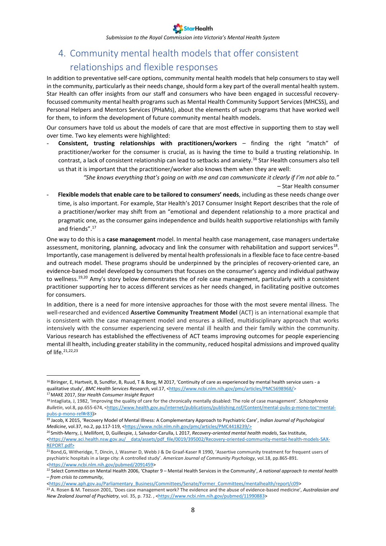*Submission to the Royal Commission into Victoria's Mental Health System*

## <span id="page-7-0"></span>4. Community mental health models that offer consistent relationships and flexible responses

In addition to preventative self-care options, community mental health models that help consumers to stay well in the community, particularly as their needs change, should form a key part of the overall mental health system. Star Health can offer insights from our staff and consumers who have been engaged in successful recoveryfocussed community mental health programs such as Mental Health Community Support Services (MHCSS), and Personal Helpers and Mentors Services (PHaMs), about the elements of such programs that have worked well for them, to inform the development of future community mental health models.

Our consumers have told us about the models of care that are most effective in supporting them to stay well over time. Two key elements were highlighted:

- **Consistent, trusting relationships with practitioners/workers** – finding the right "match" of practitioner/worker for the consumer is crucial, as is having the time to build a trusting relationship. In contrast, a lack of consistent relationship can lead to setbacks and anxiety.<sup>16</sup> Star Health consumers also tell us that it is important that the practitioner/worker also knows them when they are well:

> *"She knows everything that's going on with me and can communicate it clearly if I'm not able to."* – Star Health consumer

- **Flexible models that enable care to be tailored to consumers' needs**, including as these needs change over time, is also important. For example, Star Health's 2017 Consumer Insight Report describes that the role of a practitioner/worker may shift from an "emotional and dependent relationship to a more practical and pragmatic one, as the consumer gains independence and builds health supportive relationships with family and friends".<sup>17</sup>

One way to do this is a **case management** model. In mental health case management, case managers undertake assessment, monitoring, planning, advocacy and link the consumer with rehabilitation and support services<sup>18</sup>. Importantly, case management is delivered by mental health professionals in a flexible face to face centre-based and outreach model. These programs should be underpinned by the principles of recovery-oriented care, an evidence-based model developed by consumers that focuses on the consumer's agency and individual pathway to wellness.<sup>19,20</sup> Amy's story below demonstrates the of role case management, particularly with a consistent practitioner supporting her to access different services as her needs changed, in facilitating positive outcomes for consumers.

In addition, there is a need for more intensive approaches for those with the most severe mental illness. The well-researched and evidenced **Assertive Community Treatment Model** (ACT) is an international example that is consistent with the case management model and ensures a skilled, multidisciplinary approach that works intensively with the consumer experiencing severe mental ill health and their family within the community. Various research has established the effectiveness of ACT teams improving outcomes for people experiencing mental ill health, including greater stability in the community, reduced hospital admissions and improved quality of life.21,22,23

1

<sup>20</sup> Smith-Merry, J, Mellifont, D, Guillespie, J, Salvador-Carulla, L 2017, *Recovery-oriented mental health models*, Sax Institute, <https://www.aci.health.nsw.gov.au/ data/assets/pdf file/0019/395002/Recovery-oriented-community-mental-health-models-SAX-[REPORT.pdf>](https://www.aci.health.nsw.gov.au/__data/assets/pdf_file/0019/395002/Recovery-oriented-community-mental-health-models-SAX-REPORT.pdf)

[<https://www.aph.gov.au/Parliamentary\\_Business/Committees/Senate/Former\\_Committees/mentalhealth/report/c09>](https://www.aph.gov.au/Parliamentary_Business/Committees/Senate/Former_Committees/mentalhealth/report/c09)

<sup>&</sup>lt;sup>16</sup> Biringer, E, Hartveit, B, Sundfor, B, Ruud, T & Borg, M 2017, 'Continuity of care as experienced by mental health service users - a qualitative study', *BMC Health Services Research, vol.17,* [<https://www.ncbi.nlm.nih.gov/pmc/articles/PMC5698968/>](https://www.ncbi.nlm.nih.gov/pmc/articles/PMC5698968/) <sup>17</sup> MAKE 2017, *Star Health Consumer Insight Report*

<sup>18</sup> Intagliata, J, 1982, 'Improving the quality of care for the chronically mentally disabled: The role of case management'. *Schizophrenia*  Bulletin, vol.8, pp.655-674, [<https://www.health.gov.au/internet/publications/publishing.nsf/Content/mental-pubs-p-mono-toc~mental](https://www.health.gov.au/internet/publications/publishing.nsf/Content/mental-pubs-p-mono-toc~mental-pubs-p-mono-ref#r83)[pubs-p-mono-ref#r83\)>](https://www.health.gov.au/internet/publications/publishing.nsf/Content/mental-pubs-p-mono-toc~mental-pubs-p-mono-ref#r83)

<sup>19</sup> Jacob, K 2015, 'Recovery Model of Mental Illness: A Complementary Approach to Psychiatric Care', *Indian Journal of Psychological Medicine*, vol.37, no.2, pp.117-119, [<https://www.ncbi.nlm.nih.gov/pmc/articles/PMC4418239/>](https://www.ncbi.nlm.nih.gov/pmc/articles/PMC4418239/)

<sup>&</sup>lt;sup>21</sup> Bond, G, Witheridge, T, Dincin, J, Wasmer D, Webb J & De Graaf-Kaser R 1990, 'Assertive community treatment for frequent users of psychiatric hospitals in a large city: A controlled study'. *American Journal of Community Psychology*, vol.18, pp.865-891. [<https://www.ncbi.nlm.nih.gov/pubmed/2091459>](https://www.ncbi.nlm.nih.gov/pubmed/2091459)

<sup>22</sup> Select Committee on Mental Health 2006, 'Chapter 9 – Mental Health Services in the Community', *A national approach to mental health – from crisis to community*,

<sup>23</sup> A. Rosen & M. Teesson 2001, 'Does case management work? The evidence and the abuse of evidence-based medicine', *Australasian and New Zealand Journal of Psychiatry, vol.* 35, p. 732., [<https://www.ncbi.nlm.nih.gov/pubmed/11990883>](https://www.ncbi.nlm.nih.gov/pubmed/11990883)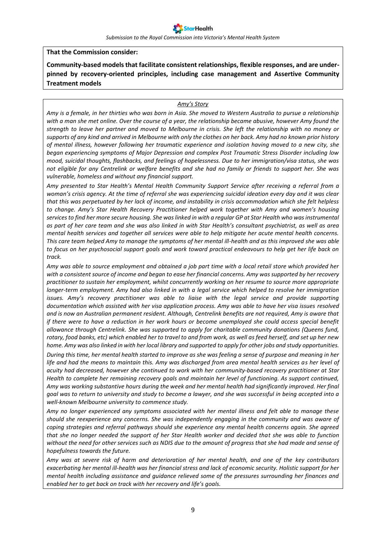*Submission to the Royal Commission into Victoria's Mental Health System*

#### **That the Commission consider:**

**Community-based models that facilitate consistent relationships, flexible responses, and are underpinned by recovery-oriented principles, including case management and Assertive Community Treatment models**

#### *Amy's Story*

*Amy is a female, in her thirties who was born in Asia. She moved to Western Australia to pursue a relationship with a man she met online. Over the course of a year, the relationship became abusive, however Amy found the strength to leave her partner and moved to Melbourne in crisis. She left the relationship with no money or supports of any kind and arrived in Melbourne with only the clothes on her back. Amy had no known prior history of mental illness, however following her traumatic experience and isolation having moved to a new city, she began experiencing symptoms of Major Depression and complex Post Traumatic Stress Disorder including low mood, suicidal thoughts, flashbacks, and feelings of hopelessness. Due to her immigration/visa status, she was not eligible for any Centrelink or welfare benefits and she had no family or friends to support her. She was vulnerable, homeless and without any financial support.* 

*Amy presented to Star Health's Mental Health Community Support Service after receiving a referral from a woman's crisis agency. At the time of referral she was experiencing suicidal ideation every day and it was clear that this was perpetuated by her lack of income, and instability in crisis accommodation which she felt helpless to change. Amy's Star Health Recovery Practitioner helped work together with Amy and women's housing services to find her more secure housing. She was linked in with a regular GP at Star Health who was instrumental as part of her care team and she was also linked in with Star Health's consultant psychiatrist, as well as area mental health services and together all services were able to help mitigate her acute mental health concerns. This care team helped Amy to manage the symptoms of her mental ill-health and as this improved she was able to focus on her psychosocial support goals and work toward practical endeavours to help get her life back on track.* 

*Amy was able to source employment and obtained a job part time with a local retail store which provided her with a consistent source of income and began to ease her financial concerns. Amy was supported by her recovery practitioner to sustain her employment, whilst concurrently working on her resume to source more appropriate longer-term employment. Amy had also linked in with a legal service which helped to resolve her immigration issues. Amy's recovery practitioner was able to liaise with the legal service and provide supporting documentation which assisted with her visa application process. Amy was able to have her visa issues resolved and is now an Australian permanent resident. Although, Centrelink benefits are not required, Amy is aware that if there were to have a reduction in her work hours or become unemployed she could access special benefit allowance through Centrelink. She was supported to apply for charitable community donations (Queens fund, rotary, food banks, etc) which enabled her to travel to and from work, as well as feed herself, and set up her new home. Amy was also linked in with her local library and supported to apply for other jobs and study opportunities.*

*During this time, her mental health started to improve as she was feeling a sense of purpose and meaning in her life and had the means to maintain this. Amy was discharged from area mental health services as her level of acuity had decreased, however she continued to work with her community-based recovery practitioner at Star Health to complete her remaining recovery goals and maintain her level of functioning. As support continued, Amy was working substantive hours during the week and her mental health had significantly improved. Her final goal was to return to university and study to become a lawyer, and she was successful in being accepted into a well-known Melbourne university to commence study.* 

*Amy no longer experienced any symptoms associated with her mental illness and felt able to manage these should she reexperience any concerns. She was independently engaging in the community and was aware of coping strategies and referral pathways should she experience any mental health concerns again. She agreed that she no longer needed the support of her Star Health worker and decided that she was able to function without the need for other services such as NDIS due to the amount of progress that she had made and sense of hopefulness towards the future.* 

*Amy was at severe risk of harm and deterioration of her mental health, and one of the key contributors exacerbating her mental ill-health was her financial stress and lack of economic security. Holistic support for her mental health including assistance and guidance relieved some of the pressures surrounding her finances and enabled her to get back on track with her recovery and life's goals.*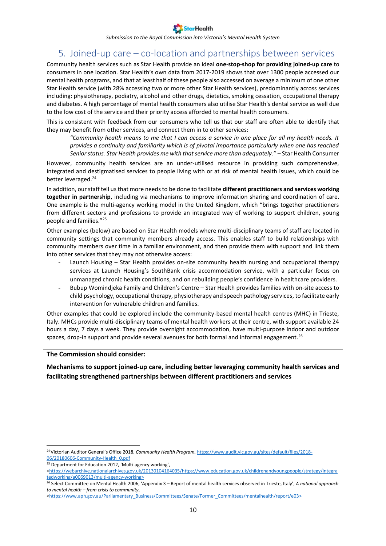

## <span id="page-9-0"></span>5. Joined-up care – co-location and partnerships between services

Community health services such as Star Health provide an ideal **one-stop-shop for providing joined-up care** to consumers in one location. Star Health's own data from 2017-2019 shows that over 1300 people accessed our mental health programs, and that at least half of these people also accessed on average a minimum of one other Star Health service (with 28% accessing two or more other Star Health services), predominantly across services including: physiotherapy, podiatry, alcohol and other drugs, dietetics, smoking cessation, occupational therapy and diabetes. A high percentage of mental health consumers also utilise Star Health's dental service as well due to the low cost of the service and their priority access afforded to mental health consumers.

This is consistent with feedback from our consumers who tell us that our staff are often able to identify that they may benefit from other services, and connect them in to other services:

*"Community health means to me that I can access a service in one place for all my health needs. It provides a continuity and familiarity which is of pivotal importance particularly when one has reached Senior status. Star Health provides me with that service more than adequately."* – Star Health Consumer

However, community health services are an under-utilised resource in providing such comprehensive, integrated and destigmatised services to people living with or at risk of mental health issues, which could be better leveraged.<sup>24</sup>

In addition, our staff tell us that more needs to be done to facilitate **different practitioners and services working together in partnership**, including via mechanisms to improve information sharing and coordination of care. One example is the multi-agency working model in the United Kingdom, which "brings together practitioners from different sectors and professions to provide an integrated way of working to support children, young people and families."<sup>25</sup>

Other examples (below) are based on Star Health models where multi-disciplinary teams of staff are located in community settings that community members already access. This enables staff to build relationships with community members over time in a familiar environment, and then provide them with support and link them into other services that they may not otherwise access:

- Launch Housing Star Health provides on-site community health nursing and occupational therapy services at Launch Housing's SouthBank crisis accommodation service, with a particular focus on unmanaged chronic health conditions, and on rebuilding people's confidence in healthcare providers.
- Bubup Womindjeka Family and Children's Centre Star Health provides families with on-site access to child psychology, occupational therapy, physiotherapy and speech pathology services, to facilitate early intervention for vulnerable children and families.

Other examples that could be explored include the community-based mental health centres (MHC) in Trieste, Italy. MHCs provide multi-disciplinary teams of mental health workers at their centre, with support available 24 hours a day, 7 days a week. They provide overnight accommodation, have multi-purpose indoor and outdoor spaces, drop-in support and provide several avenues for both formal and informal engagement.<sup>26</sup>

#### **The Commission should consider:**

**Mechanisms to support joined-up care, including better leveraging community health services and facilitating strengthened partnerships between different practitioners and services** 

<u>.</u>

<sup>&</sup>lt;sup>24</sup> Victorian Auditor General's Office 2018, Community Health Program, [https://www.audit.vic.gov.au/sites/default/files/2018-](https://www.audit.vic.gov.au/sites/default/files/2018-06/20180606-Community-Health_0.pdf) [06/20180606-Community-Health\\_0.pdf](https://www.audit.vic.gov.au/sites/default/files/2018-06/20180606-Community-Health_0.pdf)

<sup>&</sup>lt;sup>25</sup> Department for Education 2012, 'Multi-agency working',

[<sup>&</sup>lt;https://webarchive.nationalarchives.gov.uk/20130104164035/https://www.education.gov.uk/childrenandyoungpeople/strategy/integra](https://webarchive.nationalarchives.gov.uk/20130104164035/https:/www.education.gov.uk/childrenandyoungpeople/strategy/integratedworking/a0069013/multi-agency-working) [tedworking/a0069013/multi-agency-working>](https://webarchive.nationalarchives.gov.uk/20130104164035/https:/www.education.gov.uk/childrenandyoungpeople/strategy/integratedworking/a0069013/multi-agency-working)

<sup>26</sup> Select Committee on Mental Health 2006, 'Appendix 3 – Report of mental health services observed in Trieste, Italy', *A national approach to mental health – from crisis to community*,

[<sup>&</sup>lt;https://www.aph.gov.au/Parliamentary\\_Business/Committees/Senate/Former\\_Committees/mentalhealth/report/e03>](https://www.aph.gov.au/Parliamentary_Business/Committees/Senate/Former_Committees/mentalhealth/report/e03)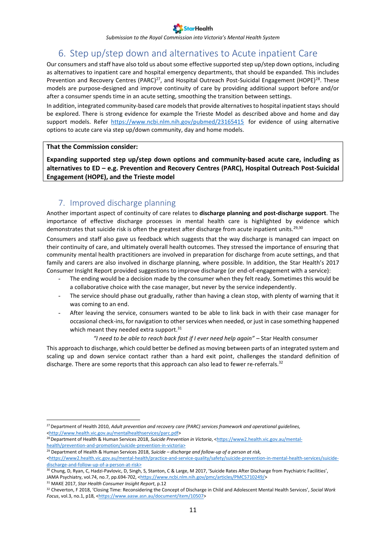

## 6. Step up/step down and alternatives to Acute inpatient Care

<span id="page-10-0"></span>Our consumers and staff have also told us about some effective supported step up/step down options, including as alternatives to inpatient care and hospital emergency departments, that should be expanded. This includes Prevention and Recovery Centres (PARC)<sup>27</sup>, and Hospital Outreach Post-Suicidal Engagement (HOPE)<sup>28</sup>. These models are purpose-designed and improve continuity of care by providing additional support before and/or after a consumer spends time in an acute setting, smoothing the transition between settings.

In addition, integrated community-based care models that provide alternatives to hospital inpatient staysshould be explored. There is strong evidence for example the Trieste Model as described above and home and day support models. Refer <https://www.ncbi.nlm.nih.gov/pubmed/23165415> for evidence of using alternative options to acute care via step up/down community, day and home models.

#### **That the Commission consider:**

**Expanding supported step up/step down options and community-based acute care, including as alternatives to ED – e.g. Prevention and Recovery Centres (PARC), Hospital Outreach Post-Suicidal Engagement (HOPE), and the Trieste model**

### 7. Improved discharge planning

<span id="page-10-1"></span>Another important aspect of continuity of care relates to **discharge planning and post-discharge support**. The importance of effective discharge processes in mental health care is highlighted by evidence which demonstrates that suicide risk is often the greatest after discharge from acute inpatient units.<sup>29,30</sup>

Consumers and staff also gave us feedback which suggests that the way discharge is managed can impact on their continuity of care, and ultimately overall health outcomes. They stressed the importance of ensuring that community mental health practitioners are involved in preparation for discharge from acute settings, and that family and carers are also involved in discharge planning, where possible. In addition, the Star Health's 2017 Consumer Insight Report provided suggestions to improve discharge (or end-of-engagement with a service):

- The ending would be a decision made by the consumer when they felt ready. Sometimes this would be a collaborative choice with the case manager, but never by the service independently.
- The service should phase out gradually, rather than having a clean stop, with plenty of warning that it was coming to an end.
- After leaving the service, consumers wanted to be able to link back in with their case manager for occasional check-ins, for navigation to other services when needed, or just in case something happened which meant they needed extra support.<sup>31</sup>

#### *"I need to be able to reach back fast if I ever need help again"* – Star Health consumer

This approach to discharge, which could better be defined as moving between parts of an integrated system and scaling up and down service contact rather than a hard exit point, challenges the standard definition of discharge. There are some reports that this approach can also lead to fewer re-referrals.<sup>32</sup>

<sup>31</sup> MAKE 2017, *Star Health Consumer Insight Report*, p.12

<sup>27</sup>Department of Health 2010, *Adult prevention and recovery care (PARC) services framework and operational guidelines,* [<http://www.health.vic.gov.au/mentalhealthservices/parc.pdf>](http://www.health.vic.gov.au/mentalhealthservices/parc.pdf)

<sup>&</sup>lt;sup>28</sup> Department of Health & Human Services 2018, Suicide Prevention in Victoria, [<https://www2.health.vic.gov.au/mental](https://www2.health.vic.gov.au/mental-health/prevention-and-promotion/suicide-prevention-in-victoria)[health/prevention-and-promotion/suicide-prevention-in-victoria>](https://www2.health.vic.gov.au/mental-health/prevention-and-promotion/suicide-prevention-in-victoria)

<sup>29</sup> Department of Health & Human Services 2018, *Suicide – discharge and follow-up of a person at risk,* 

*<sup>&</sup>lt;*[https://www2.health.vic.gov.au/mental-health/practice-and-service-quality/safety/suicide-prevention-in-mental-health-services/suicide](https://www2.health.vic.gov.au/mental-health/practice-and-service-quality/safety/suicide-prevention-in-mental-health-services/suicide-discharge-and-follow-up-of-a-person-at-risk)[discharge-and-follow-up-of-a-person-at-risk>](https://www2.health.vic.gov.au/mental-health/practice-and-service-quality/safety/suicide-prevention-in-mental-health-services/suicide-discharge-and-follow-up-of-a-person-at-risk)

<sup>&</sup>lt;sup>30</sup> Chung, D, Ryan, C, Hadzi-Pavlovic, D, Singh, S, Stanton, C & Large, M 2017, 'Suicide Rates After Discharge from Psychiatric Facilities', JAMA Psychiatry, vol.74, no.7, pp.694-702, [<https://www.ncbi.nlm.nih.gov/pmc/articles/PMC5710249/>](https://www.ncbi.nlm.nih.gov/pmc/articles/PMC5710249/)

<sup>32</sup> Cheverton, F 2018, 'Closing Time: Reconsidering the Concept of Discharge in Child and Adolescent Mental Health Services', *Social Work Focus*, vol.3, no.1, p18, [<https://www.aasw.asn.au/document/item/10507>](https://www.aasw.asn.au/document/item/10507)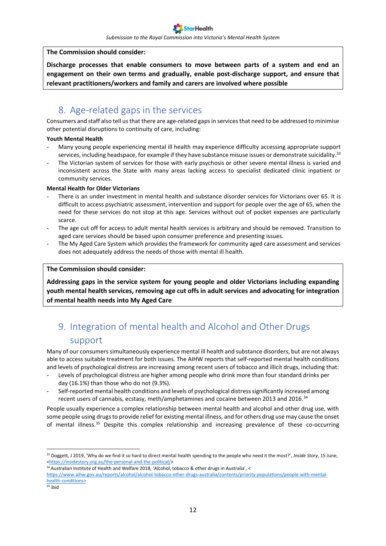#### **The Commission should consider:**

**Discharge processes that enable consumers to move between parts of a system and end an engagement on their own terms and gradually, enable post-discharge support, and ensure that relevant practitioners/workers and family and carers are involved where possible**

## <span id="page-11-0"></span>8. Age-related gaps in the services

Consumers and staff also tell us that there are age-related gaps in services that need to be addressed to minimise other potential disruptions to continuity of care, including:

#### **Youth Mental Health**

- Many young people experiencing mental ill health may experience difficulty accessing appropriate support services, including headspace, for example if they have substance misuse issues or demonstrate suicidality.<sup>33</sup>
- The Victorian system of services for those with early psychosis or other severe mental illness is varied and inconsistent across the State with many areas lacking access to specialist dedicated clinic inpatient or community services.

#### **Mental Health for Older Victorians**

- There is an under investment in mental health and substance disorder services for Victorians over 65. It is difficult to access psychiatric assessment, intervention and support for people over the age of 65, when the need for these services do not stop at this age. Services without out of pocket expenses are particularly scarce.
- The age cut off for access to adult mental health services is arbitrary and should be removed. Transition to aged care services should be based upon consumer preference and presenting issues.
- The My Aged Care System which provides the framework for community aged care assessment and services does not adequately address the needs of those with mental ill health.

#### **The Commission should consider:**

**Addressing gaps in the service system for young people and older Victorians including expanding youth mental health services, removing age cut offs in adult services and advocating for integration of mental health needs into My Aged Care** 

## <span id="page-11-1"></span>9. Integration of mental health and Alcohol and Other Drugs support

Many of our consumers simultaneously experience mental ill health and substance disorders, but are not always able to access suitable treatment for both issues. The AIHW reports that self-reported mental health conditions and levels of psychological distress are increasing among recent users of tobacco and illicit drugs, including that:

- Levels of psychological distress are higher among people who drink more than four standard drinks per day (16.1%) than those who do not (9.3%).
- Self-reported mental health conditions and levels of psychological distress significantly increased among recent users of cannabis, ecstasy, meth/amphetamines and cocaine between 2013 and 2016.<sup>34</sup>

People usually experience a complex relationship between mental health and alcohol and other drug use, with some people using drugs to provide relief for existing mental illness, and for others drug use may cause the onset of mental illness.<sup>35</sup> Despite this complex relationship and increasing prevalence of these co-occurring

 $35$  [ibid](https://www.aihw.gov.au/reports/alcohol/alcohol-tobacco-other-drugs-australia/contents/priority-populations/people-with-mental-health-conditions)

<sup>33</sup> Doggett, J 2019, 'Why do we find it so hard to direct mental health spending to the people who need it the most?', *Inside Story*, 15 June, [<https://insidestory.org.au/the-personal-and-the-political/>](https://insidestory.org.au/the-personal-and-the-political/)

<sup>&</sup>lt;sup>34</sup> Australian Institute of Health and Welfare 2018, 'Alcohol, tobacco & other drugs in Australia', <

[https://www.aihw.gov.au/reports/alcohol/alcohol-tobacco-other-drugs-australia/contents/priority-populations/people-with-mental](https://www.aihw.gov.au/reports/alcohol/alcohol-tobacco-other-drugs-australia/contents/priority-populations/people-with-mental-health-conditions)[health-conditions>](https://www.aihw.gov.au/reports/alcohol/alcohol-tobacco-other-drugs-australia/contents/priority-populations/people-with-mental-health-conditions)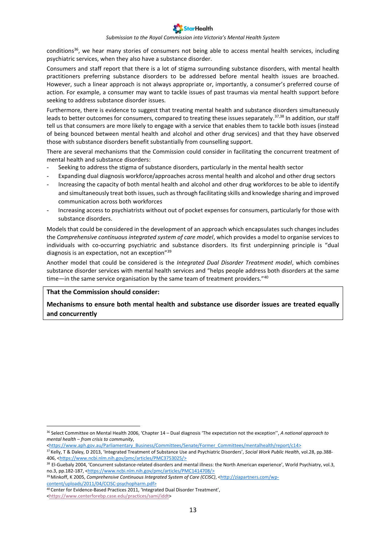#### *Submission to the Royal Commission into Victoria's Mental Health System*

conditions<sup>36</sup>, we hear many stories of consumers not being able to access mental health services, including psychiatric services, when they also have a substance disorder.

Consumers and staff report that there is a lot of stigma surrounding substance disorders, with mental health practitioners preferring substance disorders to be addressed before mental health issues are broached. However, such a linear approach is not always appropriate or, importantly, a consumer's preferred course of action. For example, a consumer may want to tackle issues of past traumas via mental health support before seeking to address substance disorder issues.

Furthermore, there is evidence to suggest that treating mental health and substance disorders simultaneously leads to better outcomes for consumers, compared to treating these issues separately.<sup>37,38</sup> In addition, our staff tell us that consumers are more likely to engage with a service that enables them to tackle both issues (instead of being bounced between mental health and alcohol and other drug services) and that they have observed those with substance disorders benefit substantially from counselling support.

There are several mechanisms that the Commission could consider in facilitating the concurrent treatment of mental health and substance disorders:

- Seeking to address the stigma of substance disorders, particularly in the mental health sector
- Expanding dual diagnosis workforce/approaches across mental health and alcohol and other drug sectors
- Increasing the capacity of both mental health and alcohol and other drug workforces to be able to identify and simultaneously treat both issues, such as through facilitating skills and knowledge sharing and improved communication across both workforces
- Increasing access to psychiatrists without out of pocket expenses for consumers, particularly for those with substance disorders.

Models that could be considered in the development of an approach which encapsulates such changes includes the *Comprehensive continuous integrated system of care model*, which provides a model to organise services to individuals with co-occurring psychiatric and substance disorders. Its first underpinning principle is "dual diagnosis is an expectation, not an exception"<sup>39</sup>

Another model that could be considered is the *Integrated Dual Disorder Treatment model*, which combines substance disorder services with mental health services and "helps people address both disorders at the same time—in the same service organisation by the same team of treatment providers."40

#### **That the Commission should consider:**

**Mechanisms to ensure both mental health and substance use disorder issues are treated equally and concurrently**

[content/uploads/2011/04/CCISC-psychopharm.pdf>](http://ziapartners.com/wp-content/uploads/2011/04/CCISC-psychopharm.pdf)

<sup>36</sup> Select Committee on Mental Health 2006, 'Chapter 14 – Dual diagnosis 'The expectation not the exception'', *A national approach to mental health – from crisis to community*,

[<sup>&</sup>lt;https://www.aph.gov.au/Parliamentary\\_Business/Committees/Senate/Former\\_Committees/mentalhealth/report/c14>](https://www.aph.gov.au/Parliamentary_Business/Committees/Senate/Former_Committees/mentalhealth/report/c14)

<sup>37</sup> Kelly, T & Daley, D 2013, 'Integrated Treatment of Substance Use and Psychiatric Disorders', *Social Work Public Health*, vol.28, pp.388- 406, [<https://www.ncbi.nlm.nih.gov/pmc/articles/PMC3753025/>](https://www.ncbi.nlm.nih.gov/pmc/articles/PMC3753025/)

<sup>38</sup> El-Guebaly 2004, 'Concurrent substance-related disorders and mental illness: the North American experience', World Psychiatry, vol.3, no.3, pp.182-187, [<https://www.ncbi.nlm.nih.gov/pmc/articles/PMC1414708/>](https://www.ncbi.nlm.nih.gov/pmc/articles/PMC1414708/)

<sup>&</sup>lt;sup>39</sup> Minkoff, K 2005, *Comprehensive Continuous Integrated System of Care (CCISC)*, [<http://ziapartners.com/wp-](http://ziapartners.com/wp-content/uploads/2011/04/CCISC-psychopharm.pdf)

<sup>40</sup> Center for Evidence-Based Practices 2011, 'Integrated Dual Disorder Treatment',

[<sup>&</sup>lt;https://www.centerforebp.case.edu/practices/sami/iddt>](https://www.centerforebp.case.edu/practices/sami/iddt)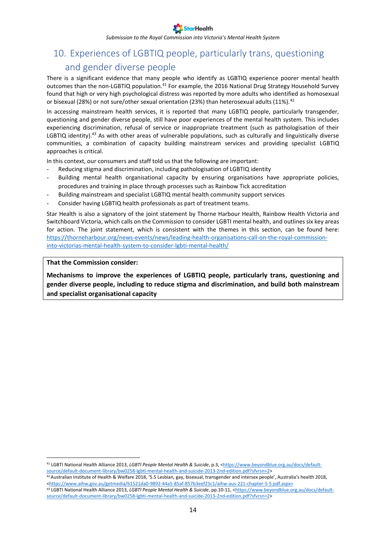*Submission to the Royal Commission into Victoria's Mental Health System*

## <span id="page-13-0"></span>10. Experiences of LGBTIQ people, particularly trans, questioning and gender diverse people

There is a significant evidence that many people who identify as LGBTIQ experience poorer mental health outcomes than the non-LGBTIQ population.<sup>41</sup> For example, the 2016 National Drug Strategy Household Survey found that high or very high psychological distress was reported by more adults who identified as homosexual or bisexual (28%) or not sure/other sexual orientation (23%) than heterosexual adults (11%).<sup>42</sup>

In accessing mainstream health services, it is reported that many LGBTIQ people, particularly transgender, questioning and gender diverse people, still have poor experiences of the mental health system. This includes experiencing discrimination, refusal of service or inappropriate treatment (such as pathologisation of their LGBTIQ identity).<sup>43</sup> As with other areas of vulnerable populations, such as culturally and linguistically diverse communities, a combination of capacity building mainstream services and providing specialist LGBTIQ approaches is critical.

In this context, our consumers and staff told us that the following are important:

- Reducing stigma and discrimination, including pathologisation of LGBTIQ identity
- Building mental health organisational capacity by ensuring organisations have appropriate policies, procedures and training in place through processes such as Rainbow Tick accreditation
- Building mainstream and specialist LGBTIQ mental health community support services
- Consider having LGBTIQ health professionals as part of treatment teams.

Star Health is also a signatory of the joint statement by Thorne Harbour Health, Rainbow Health Victoria and Switchboard Victoria, which calls on the Commission to consider LGBTI mental health, and outlines six key areas for action. The joint statement, which is consistent with the themes in this section, can be found here: [https://thorneharbour.org/news-events/news/leading-health-organisations-call-on-the-royal-commission](https://thorneharbour.org/news-events/news/leading-health-organisations-call-on-the-royal-commission-into-victorias-mental-health-system-to-consider-lgbti-mental-health/)[into-victorias-mental-health-system-to-consider-lgbti-mental-health/](https://thorneharbour.org/news-events/news/leading-health-organisations-call-on-the-royal-commission-into-victorias-mental-health-system-to-consider-lgbti-mental-health/)

#### **That the Commission consider:**

<u>.</u>

**Mechanisms to improve the experiences of LGBTIQ people, particularly trans, questioning and gender diverse people, including to reduce stigma and discrimination, and build both mainstream and specialist organisational capacity**

<sup>41</sup> LGBTI National Health Alliance 2013, *LGBTI People Mental Health & Suicide*, p.3, [<https://www.beyondblue.org.au/docs/default](https://www.beyondblue.org.au/docs/default-source/default-document-library/bw0258-lgbti-mental-health-and-suicide-2013-2nd-edition.pdf?sfvrsn=2)[source/default-document-library/bw0258-lgbti-mental-health-and-suicide-2013-2nd-edition.pdf?sfvrsn=2>](https://www.beyondblue.org.au/docs/default-source/default-document-library/bw0258-lgbti-mental-health-and-suicide-2013-2nd-edition.pdf?sfvrsn=2)

 $42$  Australian Institute of Health & Welfare 2018, '5.5 Lesbian, gay, bisexual, transgender and intersex people', Australia's health 2018, [<https://www.aihw.gov.au/getmedia/61521da0-9892-44a5-85af-857b3eef25c1/aihw-aus-221-chapter-5-5.pdf.aspx>](https://www.aihw.gov.au/getmedia/61521da0-9892-44a5-85af-857b3eef25c1/aihw-aus-221-chapter-5-5.pdf.aspx) <sup>43</sup> LGBTI National Health Alliance 2013, *LGBTI People Mental Health & Suicide*, pp.10-11, [<https://www.beyondblue.org.au/docs/default](https://www.beyondblue.org.au/docs/default-source/default-document-library/bw0258-lgbti-mental-health-and-suicide-2013-2nd-edition.pdf?sfvrsn=2)[source/default-document-library/bw0258-lgbti-mental-health-and-suicide-2013-2nd-edition.pdf?sfvrsn=2>](https://www.beyondblue.org.au/docs/default-source/default-document-library/bw0258-lgbti-mental-health-and-suicide-2013-2nd-edition.pdf?sfvrsn=2)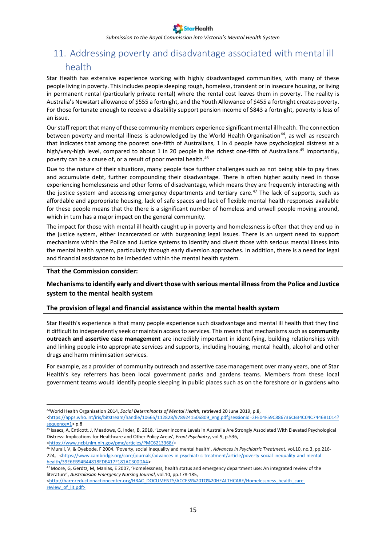*Submission to the Royal Commission into Victoria's Mental Health System*

# <span id="page-14-0"></span>11. Addressing poverty and disadvantage associated with mental ill

## health

Star Health has extensive experience working with highly disadvantaged communities, with many of these people living in poverty. This includes people sleeping rough, homeless, transient or in insecure housing, or living in permanent rental (particularly private rental) where the rental cost leaves them in poverty. The reality is Australia's Newstart allowance of \$555 a fortnight, and the Youth Allowance of \$455 a fortnight creates poverty. For those fortunate enough to receive a disability support pension income of \$843 a fortnight, poverty is less of an issue.

Ourstaff report that many of these community members experience significant mental ill health. The connection between poverty and mental illness is acknowledged by the World Health Organisation<sup>44</sup>, as well as research that indicates that among the poorest one-fifth of Australians, 1 in 4 people have psychological distress at a high/very-high level, compared to about 1 in 20 people in the richest one-fifth of Australians.<sup>45</sup> Importantly, poverty can be a cause of, or a result of poor mental health.<sup>46</sup>

Due to the nature of their situations, many people face further challenges such as not being able to pay fines and accumulate debt, further compounding their disadvantage. There is often higher acuity need in those experiencing homelessness and other forms of disadvantage, which means they are frequently interacting with the justice system and accessing emergency departments and tertiary care.<sup>47</sup> The lack of supports, such as affordable and appropriate housing, lack of safe spaces and lack of flexible mental health responses available for these people means that the there is a significant number of homeless and unwell people moving around, which in turn has a major impact on the general community.

The impact for those with mental ill health caught up in poverty and homelessness is often that they end up in the justice system, either incarcerated or with burgeoning legal issues. There is an urgent need to support mechanisms within the Police and Justice systems to identify and divert those with serious mental illness into the mental health system, particularly through early diversion approaches. In addition, there is a need for legal and financial assistance to be imbedded within the mental health system.

#### **That the Commission consider:**

1

#### **Mechanisms to identify early and divert those with serious mental illness from the Police and Justice system to the mental health system**

#### **The provision of legal and financial assistance within the mental health system**

Star Health's experience is that many people experience such disadvantage and mental ill health that they find it difficult to independently seek or maintain access to services. This means that mechanisms such as **community outreach and assertive case management** are incredibly important in identifying, building relationships with and linking people into appropriate services and supports, including housing, mental health, alcohol and other drugs and harm minimisation services.

For example, as a provider of community outreach and assertive case management over many years, one of Star Health's key referrers has been local government parks and gardens teams. Members from these local government teams would identify people sleeping in public places such as on the foreshore or in gardens who

<sup>44</sup>World Health Organisation 2014, *Social Determinants of Mental Health,* retrieved 20 June 2019, p.8,

[<sup>&</sup>lt;https://apps.who.int/iris/bitstream/handle/10665/112828/9789241506809\\_eng.pdf;jsessionid=2FE04F59C886736CB34C04C7446B1014?](https://apps.who.int/iris/bitstream/handle/10665/112828/9789241506809_eng.pdf;jsessionid=2FE04F59C886736CB34C04C7446B1014?sequence=1) [sequence=1>](https://apps.who.int/iris/bitstream/handle/10665/112828/9789241506809_eng.pdf;jsessionid=2FE04F59C886736CB34C04C7446B1014?sequence=1) p.8

<sup>45</sup> Isaacs, A, Enticott, J, Meadows, G, Inder, B, 2018, 'Lower Income Levels in Australia Are Strongly Associated With Elevated Psychological Distress: Implications for Healthcare and Other Policy Areas', *Front Psychiatry*, vol.9, p.536, [<https://www.ncbi.nlm.nih.gov/pmc/articles/PMC6213368/>](https://www.ncbi.nlm.nih.gov/pmc/articles/PMC6213368/)

<sup>46</sup> Murali, V, & Oyebode, F 2004. 'Poverty, social inequality and mental health', *Advances in Psychiatric Treatment,* vol.10, no*.*3, pp.216- 224, [<https://www.cambridge.org/core/journals/advances-in-psychiatric-treatment/article/poverty-social-inequality-and-mental](https://www.cambridge.org/core/journals/advances-in-psychiatric-treatment/article/poverty-social-inequality-and-mental-health/39E6EB94B44818EDE417F181AC300DA4)[health/39E6EB94B44818EDE417F181AC300DA4>](https://www.cambridge.org/core/journals/advances-in-psychiatric-treatment/article/poverty-social-inequality-and-mental-health/39E6EB94B44818EDE417F181AC300DA4)

 $47$  Moore, G, Gerdtz, M, Manias, E 2007, 'Homelessness, health status and emergency department use: An integrated review of the literature', *Australasian Emergency Nursing Journal*, vol.10, pp.178-185,

[<sup>&</sup>lt;http://harmreductionactioncenter.org/HRAC\\_DOCUMENTS/ACCESS%20TO%20HEALTHCARE/Homelessness\\_health\\_care](http://harmreductionactioncenter.org/HRAC_DOCUMENTS/ACCESS%20TO%20HEALTHCARE/Homelessness_health_care-review_of_lit.pdf)review of lit.pdf>